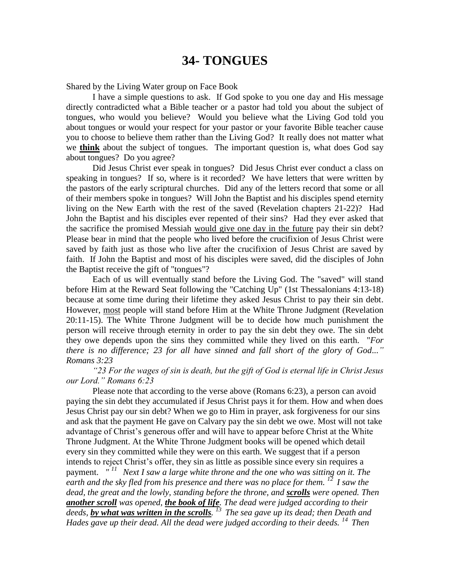## **34- TONGUES**

Shared by the Living Water group on Face Book

I have a simple questions to ask. If God spoke to you one day and His message directly contradicted what a Bible teacher or a pastor had told you about the subject of tongues, who would you believe? Would you believe what the Living God told you about tongues or would your respect for your pastor or your favorite Bible teacher cause you to choose to believe them rather than the Living God? It really does not matter what we **think** about the subject of tongues. The important question is, what does God say about tongues? Do you agree?

Did Jesus Christ ever speak in tongues? Did Jesus Christ ever conduct a class on speaking in tongues? If so, where is it recorded? We have letters that were written by the pastors of the early scriptural churches. Did any of the letters record that some or all of their members spoke in tongues? Will John the Baptist and his disciples spend eternity living on the New Earth with the rest of the saved (Revelation chapters 21-22)? Had John the Baptist and his disciples ever repented of their sins? Had they ever asked that the sacrifice the promised Messiah would give one day in the future pay their sin debt? Please bear in mind that the people who lived before the crucifixion of Jesus Christ were saved by faith just as those who live after the crucifixion of Jesus Christ are saved by faith. If John the Baptist and most of his disciples were saved, did the disciples of John the Baptist receive the gift of "tongues"?

Each of us will eventually stand before the Living God. The "saved" will stand before Him at the Reward Seat following the "Catching Up" (1st Thessalonians 4:13-18) because at some time during their lifetime they asked Jesus Christ to pay their sin debt. However, most people will stand before Him at the White Throne Judgment (Revelation 20:11-15). The White Throne Judgment will be to decide how much punishment the person will receive through eternity in order to pay the sin debt they owe. The sin debt they owe depends upon the sins they committed while they lived on this earth. "*For there is no difference; 23 for all have sinned and fall short of the glory of God..." Romans 3:23* 

*"23 For the wages of sin is death, but the gift of God is eternal life in Christ Jesus our Lord." Romans 6:23* 

Please note that according to the verse above (Romans 6:23), a person can avoid paying the sin debt they accumulated if Jesus Christ pays it for them. How and when does Jesus Christ pay our sin debt? When we go to Him in prayer, ask forgiveness for our sins and ask that the payment He gave on Calvary pay the sin debt we owe. Most will not take advantage of Christ's generous offer and will have to appear before Christ at the White Throne Judgment. At the White Throne Judgment books will be opened which detail every sin they committed while they were on this earth. We suggest that if a person intends to reject Christ's offer, they sin as little as possible since every sin requires a payment.  $T^{11}$  Next I saw a large white throne and the one who was sitting on it. The *earth and the sky fled from his presence and there was no place for them. <sup>12</sup>I saw the dead, the great and the lowly, standing before the throne, and scrolls were opened. Then another scroll was opened, the book of life. The dead were judged according to their deeds, by what was written in the scrolls. <sup>13</sup>The sea gave up its dead; then Death and Hades gave up their dead. All the dead were judged according to their deeds.* <sup>14</sup> *Then*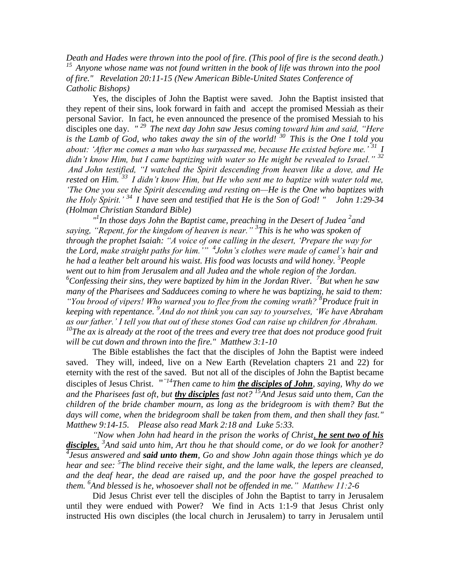*Death and Hades were thrown into the pool of fire. (This pool of fire is the second death.) <sup>15</sup>Anyone whose name was not found written in the book of life was thrown into the pool of fire." Revelation 20:11-15 (New American Bible-United States Conference of Catholic Bishops)* 

Yes, the disciples of John the Baptist were saved. John the Baptist insisted that they repent of their sins, look forward in faith and accept the promised Messiah as their personal Savior. In fact, he even announced the presence of the promised Messiah to his disciples one day. *" <sup>29</sup>The next day John saw Jesus coming toward him and said, "Here is the Lamb of God, who takes away the sin of the world! <sup>30</sup>This is the One I told you about: 'After me comes a man who has surpassed me, because He existed before me.' <sup>31</sup>I didn't know Him, but I came baptizing with water so He might be revealed to Israel." <sup>32</sup> And John testified, "I watched the Spirit descending from heaven like a dove, and He rested on Him. <sup>33</sup>I didn't know Him, but He who sent me to baptize with water told me, 'The One you see the Spirit descending and resting on—He is the One who baptizes with the Holy Spirit.' <sup>34</sup>I have seen and testified that He is the Son of God! " John 1:29-34 (Holman Christian Standard Bible)*

<sup>*n*</sup>In those days John the Baptist came, preaching in the Desert of Judea<sup>2</sup> and *saying, "Repent, for the kingdom of heaven is near." <sup>3</sup> This is he who was spoken of through the prophet Isaiah: "A voice of one calling in the desert, 'Prepare the way for the Lord, make straight paths for him.'" 4 John's clothes were made of camel's hair and he had a leather belt around his waist. His food was locusts and wild honey. <sup>5</sup> People went out to him from Jerusalem and all Judea and the whole region of the Jordan.*  <sup>6</sup>Confessing their sins, they were baptized by him in the Jordan River. <sup>7</sup>But when he saw *many of the Pharisees and Sadducees coming to where he was baptizing, he said to them: "You brood of vipers! Who warned you to flee from the coming wrath? <sup>8</sup> Produce fruit in keeping with repentance. <sup>9</sup> And do not think you can say to yourselves, 'We have Abraham as our father.' I tell you that out of these stones God can raise up children for Abraham. <sup>10</sup>The ax is already at the root of the trees and every tree that does not produce good fruit will be cut down and thrown into the fire." Matthew 3:1-10*

The Bible establishes the fact that the disciples of John the Baptist were indeed saved. They will, indeed, live on a New Earth (Revelation chapters 21 and 22) for eternity with the rest of the saved. But not all of the disciples of John the Baptist became disciples of Jesus Christ. " *"14Then came to him the disciples of John, saying, Why do we and the Pharisees fast oft, but thy disciples fast not? <sup>15</sup>And Jesus said unto them, Can the children of the bride chamber mourn, as long as the bridegroom is with them? But the days will come, when the bridegroom shall be taken from them, and then shall they fast." Matthew 9:14-15. Please also read Mark 2:18 and Luke 5:33.*

*"Now when John had heard in the prison the works of Christ, he sent two of his disciples, 3 And said unto him, Art thou he that should come, or do we look for another? 4 Jesus answered and said unto them, Go and show John again those things which ye do hear and see: <sup>5</sup> The blind receive their sight, and the lame walk, the lepers are cleansed, and the deaf hear, the dead are raised up, and the poor have the gospel preached to them. <sup>6</sup> And blessed is he, whosoever shall not be offended in me." Matthew 11:2-6* 

Did Jesus Christ ever tell the disciples of John the Baptist to tarry in Jerusalem until they were endued with Power? We find in Acts 1:1-9 that Jesus Christ only instructed His own disciples (the local church in Jerusalem) to tarry in Jerusalem until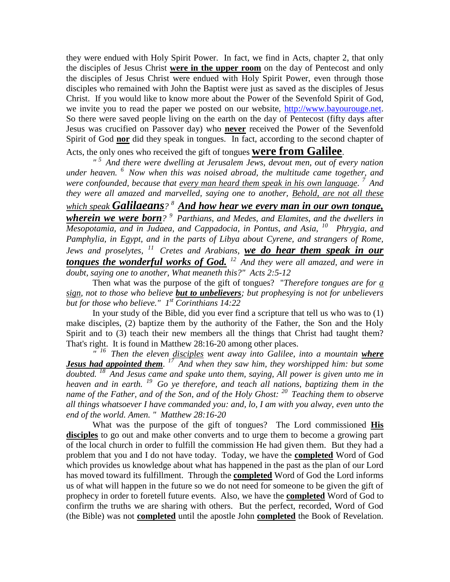they were endued with Holy Spirit Power. In fact, we find in Acts, chapter 2, that only the disciples of Jesus Christ **were in the upper room** on the day of Pentecost and only the disciples of Jesus Christ were endued with Holy Spirit Power, even through those disciples who remained with John the Baptist were just as saved as the disciples of Jesus Christ. If you would like to know more about the Power of the Sevenfold Spirit of God, we invite you to read the paper we posted on our website, [http://www.bayourouge.net.](http://www.bayourouge.net/) So there were saved people living on the earth on the day of Pentecost (fifty days after Jesus was crucified on Passover day) who **never** received the Power of the Sevenfold Spirit of God **nor** did they speak in tongues. In fact, according to the second chapter of Acts, the only ones who received the gift of tongues **were from Galilee**.

*" <sup>5</sup>And there were dwelling at Jerusalem Jews, devout men, out of every nation under heaven. <sup>6</sup>Now when this was noised abroad, the multitude came together, and were confounded, because that every man heard them speak in his own language. <sup>7</sup>And they were all amazed and marvelled, saying one to another, Behold, are not all these which speak Galilaeans? <sup>8</sup>And how hear we every man in our own tongue, wherein we were born? <sup>9</sup>Parthians, and Medes, and Elamites, and the dwellers in Mesopotamia, and in Judaea, and Cappadocia, in Pontus, and Asia, <sup>10</sup>Phrygia, and*  Pamphylia, in Egypt, and in the parts of Libya about Cyrene, and strangers of Rome, *Jews and proselytes, <sup>11</sup>Cretes and Arabians, we do hear them speak in our tongues the wonderful works of God. <sup>12</sup>And they were all amazed, and were in doubt, saying one to another, What meaneth this?" Acts 2:5-12* 

Then what was the purpose of the gift of tongues? "*Therefore tongues are for a sign, not to those who believe but to unbelievers; but prophesying is not for unbelievers but for those who believe." 1 st Corinthians 14:22*

In your study of the Bible, did you ever find a scripture that tell us who was to (1) make disciples, (2) baptize them by the authority of the Father, the Son and the Holy Spirit and to (3) teach their new members all the things that Christ had taught them? That's right. It is found in Matthew 28:16-20 among other places.

*" <sup>16</sup>Then the eleven disciples went away into Galilee, into a mountain where Jesus had appointed them. <sup>17</sup>And when they saw him, they worshipped him: but some doubted. <sup>18</sup>And Jesus came and spake unto them, saying, All power is given unto me in heaven and in earth. <sup>19</sup>Go ye therefore, and teach all nations, baptizing them in the name of the Father, and of the Son, and of the Holy Ghost: <sup>20</sup>Teaching them to observe all things whatsoever I have commanded you: and, lo, I am with you alway, even unto the end of the world. Amen. " Matthew 28:16-20*

What was the purpose of the gift of tongues? The Lord commissioned **His**  disciples to go out and make other converts and to urge them to become a growing part of the local church in order to fulfill the commission He had given them. But they had a problem that you and I do not have today. Today, we have the **completed** Word of God which provides us knowledge about what has happened in the past as the plan of our Lord has moved toward its fulfillment. Through the **completed** Word of God the Lord informs us of what will happen in the future so we do not need for someone to be given the gift of prophecy in order to foretell future events. Also, we have the **completed** Word of God to confirm the truths we are sharing with others. But the perfect, recorded, Word of God (the Bible) was not **completed** until the apostle John **completed** the Book of Revelation.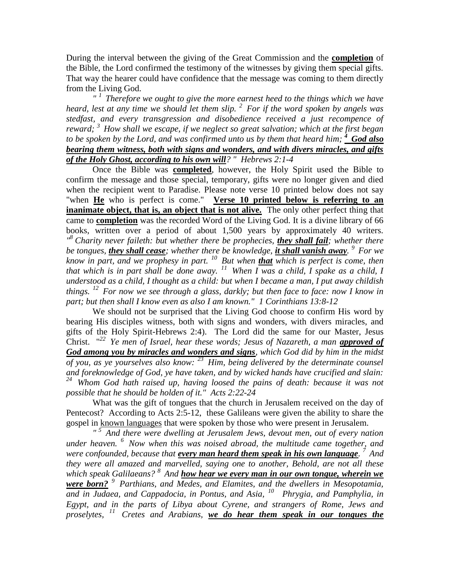During the interval between the giving of the Great Commission and the **completion** of the Bible, the Lord confirmed the testimony of the witnesses by giving them special gifts. That way the hearer could have confidence that the message was coming to them directly from the Living God.

*" <sup>1</sup>Therefore we ought to give the more earnest heed to the things which we have heard, lest at any time we should let them slip. <sup>2</sup>For if the word spoken by angels was stedfast, and every transgression and disobedience received a just recompence of reward; <sup>3</sup>How shall we escape, if we neglect so great salvation; which at the first began*  to be spoken by the Lord, and was confirmed unto us by them that heard him;  $\frac{4}{}$  **God also** *bearing them witness, both with signs and wonders, and with divers miracles, and gifts of the Holy Ghost, according to his own will? " Hebrews 2:1-4* 

Once the Bible was **completed**, however, the Holy Spirit used the Bible to confirm the message and those special, temporary, gifts were no longer given and died when the recipient went to Paradise. Please note verse 10 printed below does not say "when **He** who is perfect is come." **Verse 10 printed below is referring to an inanimate object, that is, an object that is not alive.** The only other perfect thing that came to **completion** was the recorded Word of the Living God. It is a divine library of 66 books, written over a period of about 1,500 years by approximately 40 writers. *" <sup>8</sup> Charity never faileth: but whether there be prophecies, they shall fail; whether there be tongues, they shall cease; whether there be knowledge, it shall vanish away. <sup>9</sup>For we know in part, and we prophesy in part.* <sup>*10*</sup> *But when that which is perfect is come, then know in part, and we prophesy in part.* <sup>*10*</sup> *But when that that which is in part shall be done away.* <sup>11</sup> *When I was a child, I spake as a child, I understood as a child, I thought as a child: but when I became a man, I put away childish things. <sup>12</sup>For now we see through a glass, darkly; but then face to face: now I know in part; but then shall I know even as also I am known." 1 Corinthians 13:8-12* 

We should not be surprised that the Living God choose to confirm His word by bearing His disciples witness, both with signs and wonders, with divers miracles, and gifts of the Holy Spirit-Hebrews 2:4). The Lord did the same for our Master, Jesus Christ. " *<sup>22</sup>Ye men of Israel, hear these words; Jesus of Nazareth, a man approved of God among you by miracles and wonders and signs, which God did by him in the midst of you, as ye yourselves also know: <sup>23</sup>Him, being delivered by the determinate counsel and foreknowledge of God, ye have taken, and by wicked hands have crucified and slain: <sup>24</sup>Whom God hath raised up, having loosed the pains of death: because it was not possible that he should be holden of it." Acts 2:22-24*

What was the gift of tongues that the church in Jerusalem received on the day of Pentecost? According to Acts 2:5-12, these Galileans were given the ability to share the gospel in known languages that were spoken by those who were present in Jerusalem.

*" <sup>5</sup>And there were dwelling at Jerusalem Jews, devout men, out of every nation under heaven. <sup>6</sup>Now when this was noised abroad, the multitude came together, and were confounded, because that every man heard them speak in his own language. <sup>7</sup>And they were all amazed and marvelled, saying one to another, Behold, are not all these which speak Galilaeans? <sup>8</sup>And how hear we every man in our own tongue, wherein we were born? <sup>9</sup>Parthians, and Medes, and Elamites, and the dwellers in Mesopotamia,*  and in Judaea, and Cappadocia, in Pontus, and Asia, <sup>10</sup> Phrygia, and Pamphylia, in *Egypt, and in the parts of Libya about Cyrene, and strangers of Rome, Jews and proselytes, <sup>11</sup>Cretes and Arabians, we do hear them speak in our tongues the*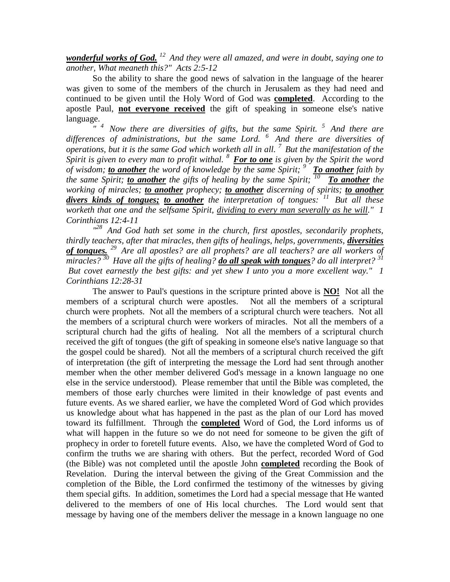*wonderful works of God. <sup>12</sup>And they were all amazed, and were in doubt, saying one to another, What meaneth this?" Acts 2:5-12* 

So the ability to share the good news of salvation in the language of the hearer was given to some of the members of the church in Jerusalem as they had need and continued to be given until the Holy Word of God was **completed**. According to the apostle Paul, **not everyone received** the gift of speaking in someone else's native language.

*" <sup>4</sup>Now there are diversities of gifts, but the same Spirit. <sup>5</sup>And there are*  differences of administrations, but the same Lord. <sup>6</sup> And there are diversities of *operations, but it is the same God which worketh all in all. <sup>7</sup>But the manifestation of the Spirit is given to every man to profit withal. <sup>8</sup>For to one is given by the Spirit the word of wisdom; to another the word of knowledge by the same Spirit; <sup>9</sup>To another faith by the same Spirit; to another the gifts of healing by the same Spirit;*  $\frac{70}{10}$  To another the *working of miracles; to another prophecy; to another discerning of spirits; to another divers kinds of tongues; to another the interpretation of tongues: <sup>11</sup>But all these worketh that one and the selfsame Spirit, dividing to every man severally as he will." 1 Corinthians 12:4-11* 

*" <sup>28</sup>And God hath set some in the church, first apostles, secondarily prophets, thirdly teachers, after that miracles, then gifts of healings, helps, governments, <i>diversities of tongues. <sup>29</sup>Are all apostles? are all prophets? are all teachers? are all workers of miracles?* <sup>30</sup> Have all the gifts of healing? *do all speak with tongues*? *do all interpret?* <sup>31</sup> *But covet earnestly the best gifts: and yet shew I unto you a more excellent way." 1 Corinthians 12:28-31* 

The answer to Paul's questions in the scripture printed above is **NO!** Not all the members of a scriptural church were apostles. Not all the members of a scriptural church were prophets. Not all the members of a scriptural church were teachers. Not all the members of a scriptural church were workers of miracles. Not all the members of a scriptural church had the gifts of healing. Not all the members of a scriptural church received the gift of tongues (the gift of speaking in someone else's native language so that the gospel could be shared). Not all the members of a scriptural church received the gift of interpretation (the gift of interpreting the message the Lord had sent through another member when the other member delivered God's message in a known language no one else in the service understood). Please remember that until the Bible was completed, the members of those early churches were limited in their knowledge of past events and future events. As we shared earlier, we have the completed Word of God which provides us knowledge about what has happened in the past as the plan of our Lord has moved toward its fulfillment. Through the **completed** Word of God, the Lord informs us of what will happen in the future so we do not need for someone to be given the gift of prophecy in order to foretell future events. Also, we have the completed Word of God to confirm the truths we are sharing with others. But the perfect, recorded Word of God (the Bible) was not completed until the apostle John **completed** recording the Book of Revelation. During the interval between the giving of the Great Commission and the completion of the Bible, the Lord confirmed the testimony of the witnesses by giving them special gifts. In addition, sometimes the Lord had a special message that He wanted delivered to the members of one of His local churches. The Lord would sent that message by having one of the members deliver the message in a known language no one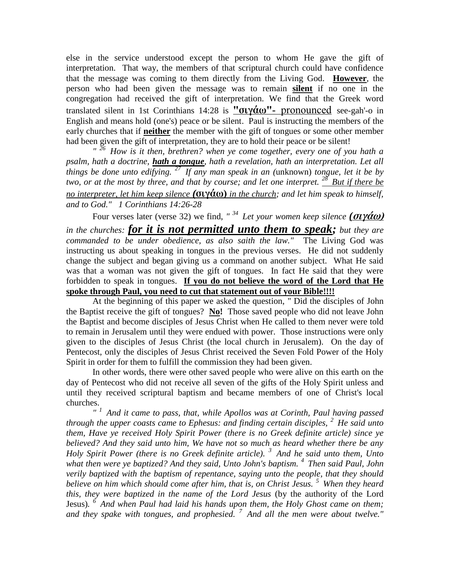else in the service understood except the person to whom He gave the gift of interpretation. That way, the members of that scriptural church could have confidence that the message was coming to them directly from the Living God. **However**, the person who had been given the message was to remain **silent** if no one in the congregation had received the gift of interpretation. We find that the Greek word translated silent in 1st Corinthians 14:28 is **"σιγάω"-** pronounced see-gah'-o in English and means hold (one's) peace or be silent. Paul is instructing the members of the early churches that if **neither** the member with the gift of tongues or some other member had been given the gift of interpretation, they are to hold their peace or be silent!

*" <sup>26</sup>How is it then, brethren? when ye come together, every one of you hath a psalm, hath a doctrine, hath a tongue, hath a revelation, hath an interpretation. Let all things be done unto edifying. <sup>27</sup>If any man speak in an (*unknown) *tongue, let it be by two, or at the most by three, and that by course; and let one interpret. <sup>28</sup>But if there be no interpreter, let him keep silence (***σιγάω)** *in the church; and let him speak to himself, and to God." 1 Corinthians 14:26-28* 

Four verses later (verse 32) we find, *" <sup>34</sup>Let your women keep silence (***σιγάω)** *in the churches: for it is not permitted unto them to speak; but they are commanded to be under obedience, as also saith the law."* The Living God was instructing us about speaking in tongues in the previous verses. He did not suddenly change the subject and began giving us a command on another subject. What He said was that a woman was not given the gift of tongues. In fact He said that they were forbidden to speak in tongues. **If you do not believe the word of the Lord that He spoke through Paul, you need to cut that statement out of your Bible!!!!**

At the beginning of this paper we asked the question, " Did the disciples of John the Baptist receive the gift of tongues? **No!** Those saved people who did not leave John the Baptist and become disciples of Jesus Christ when He called to them never were told to remain in Jerusalem until they were endued with power. Those instructions were only given to the disciples of Jesus Christ (the local church in Jerusalem). On the day of Pentecost, only the disciples of Jesus Christ received the Seven Fold Power of the Holy Spirit in order for them to fulfill the commission they had been given.

In other words, there were other saved people who were alive on this earth on the day of Pentecost who did not receive all seven of the gifts of the Holy Spirit unless and until they received scriptural baptism and became members of one of Christ's local churches.

*" <sup>1</sup>And it came to pass, that, while Apollos was at Corinth, Paul having passed through the upper coasts came to Ephesus: and finding certain disciples, <sup>2</sup>He said unto them, Have ye received Holy Spirit Power (there is no Greek definite article) since ye believed? And they said unto him, We have not so much as heard whether there be any Holy Spirit Power (there is no Greek definite article). <sup>3</sup>And he said unto them, Unto what then were ye baptized? And they said, Unto John's baptism. <sup>4</sup>Then said Paul, John verily baptized with the baptism of repentance, saying unto the people, that they should believe on him which should come after him, that is, on Christ Jesus. <sup>5</sup>When they heard this, they were baptized in the name of the Lord Jesus* (by the authority of the Lord Jesus)*. <sup>6</sup>And when Paul had laid his hands upon them, the Holy Ghost came on them; and they spake with tongues, and prophesied. <sup>7</sup>And all the men were about twelve."*